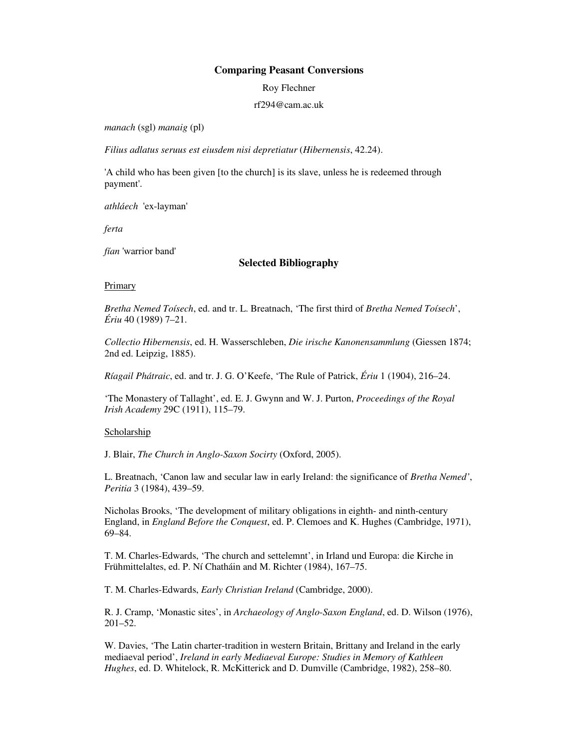## **Comparing Peasant Conversions**

Roy Flechner

rf294@cam.ac.uk

*manach* (sgl) *manaig* (pl)

*Filius adlatus seruus est eiusdem nisi depretiatur* (*Hibernensis*, 42.24).

'A child who has been given [to the church] is its slave, unless he is redeemed through payment'.

*athláech* 'ex-layman'

*ferta*

*fían* 'warrior band'

## **Selected Bibliography**

## **Primary**

*Bretha Nemed Toísech*, ed. and tr. L. Breatnach, 'The first third of *Bretha Nemed Toísech*', *Ériu* 40 (1989) 7–21.

*Collectio Hibernensis*, ed. H. Wasserschleben, *Die irische Kanonensammlung* (Giessen 1874; 2nd ed. Leipzig, 1885).

*Ríagail Phátraic*, ed. and tr. J. G. O'Keefe, 'The Rule of Patrick, *Ériu* 1 (1904), 216–24.

'The Monastery of Tallaght', ed. E. J. Gwynn and W. J. Purton, *Proceedings of the Royal Irish Academy* 29C (1911), 115–79.

## Scholarship

J. Blair, *The Church in Anglo-Saxon Socirty* (Oxford, 2005).

L. Breatnach, 'Canon law and secular law in early Ireland: the significance of *Bretha Nemed'*, *Peritia* 3 (1984), 439–59.

Nicholas Brooks, 'The development of military obligations in eighth- and ninth-century England, in *England Before the Conquest*, ed. P. Clemoes and K. Hughes (Cambridge, 1971), 69–84.

T. M. Charles-Edwards, 'The church and settelemnt', in Irland und Europa: die Kirche in Frühmittelaltes, ed. P. Ní Chatháin and M. Richter (1984), 167–75.

T. M. Charles-Edwards, *Early Christian Ireland* (Cambridge, 2000).

R. J. Cramp, 'Monastic sites', in *Archaeology of Anglo-Saxon England*, ed. D. Wilson (1976), 201–52.

W. Davies, 'The Latin charter-tradition in western Britain, Brittany and Ireland in the early mediaeval period', *Ireland in early Mediaeval Europe: Studies in Memory of Kathleen Hughes*, ed. D. Whitelock, R. McKitterick and D. Dumville (Cambridge, 1982), 258–80.